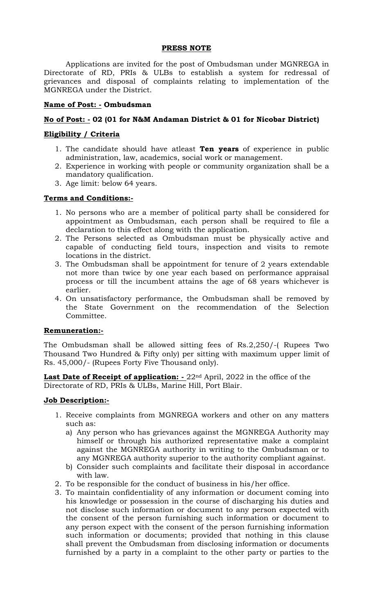#### **PRESS NOTE**

Applications are invited for the post of Ombudsman under MGNREGA in Directorate of RD, PRIs & ULBs to establish a system for redressal of grievances and disposal of complaints relating to implementation of the MGNREGA under the District.

### **Name of Post: - Ombudsman**

# **No of Post: - 02 (01 for N&M Andaman District & 01 for Nicobar District)**

## **Eligibility / Criteria**

- 1. The candidate should have atleast **Ten years** of experience in public administration, law, academics, social work or management.
- 2. Experience in working with people or community organization shall be a mandatory qualification.
- 3. Age limit: below 64 years.

### **Terms and Conditions:-**

- 1. No persons who are a member of political party shall be considered for appointment as Ombudsman, each person shall be required to file a declaration to this effect along with the application.
- 2. The Persons selected as Ombudsman must be physically active and capable of conducting field tours, inspection and visits to remote locations in the district.
- 3. The Ombudsman shall be appointment for tenure of 2 years extendable not more than twice by one year each based on performance appraisal process or till the incumbent attains the age of 68 years whichever is earlier.
- 4. On unsatisfactory performance, the Ombudsman shall be removed by the State Government on the recommendation of the Selection Committee.

#### **Remuneration:-**

The Ombudsman shall be allowed sitting fees of Rs.2,250/-( Rupees Two Thousand Two Hundred & Fifty only) per sitting with maximum upper limit of Rs. 45,000/- (Rupees Forty Five Thousand only).

Last Date of Receipt of application: - 22<sup>nd</sup> April, 2022 in the office of the Directorate of RD, PRIs & ULBs, Marine Hill, Port Blair.

#### **Job Description:-**

- 1. Receive complaints from MGNREGA workers and other on any matters such as:
	- a) Any person who has grievances against the MGNREGA Authority may himself or through his authorized representative make a complaint against the MGNREGA authority in writing to the Ombudsman or to any MGNREGA authority superior to the authority compliant against.
	- b) Consider such complaints and facilitate their disposal in accordance with law.
- 2. To be responsible for the conduct of business in his/her office.
- 3. To maintain confidentiality of any information or document coming into his knowledge or possession in the course of discharging his duties and not disclose such information or document to any person expected with the consent of the person furnishing such information or document to any person expect with the consent of the person furnishing information such information or documents; provided that nothing in this clause shall prevent the Ombudsman from disclosing information or documents furnished by a party in a complaint to the other party or parties to the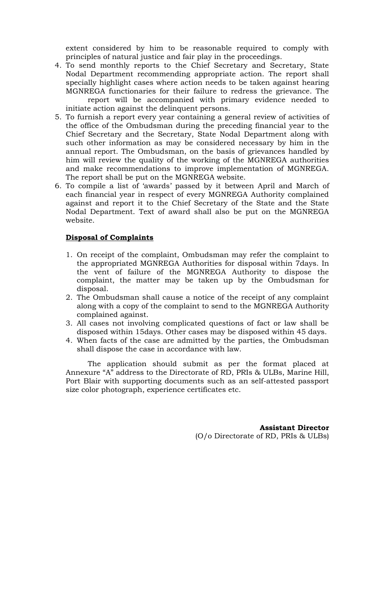extent considered by him to be reasonable required to comply with principles of natural justice and fair play in the proceedings.

- 4. To send monthly reports to the Chief Secretary and Secretary, State Nodal Department recommending appropriate action. The report shall specially highlight cases where action needs to be taken against hearing MGNREGA functionaries for their failure to redress the grievance. The report will be accompanied with primary evidence needed to initiate action against the delinquent persons.
- 5. To furnish a report every year containing a general review of activities of the office of the Ombudsman during the preceding financial year to the Chief Secretary and the Secretary, State Nodal Department along with such other information as may be considered necessary by him in the annual report. The Ombudsman, on the basis of grievances handled by him will review the quality of the working of the MGNREGA authorities and make recommendations to improve implementation of MGNREGA. The report shall be put on the MGNREGA website.
- 6. To compile a list of 'awards' passed by it between April and March of each financial year in respect of every MGNREGA Authority complained against and report it to the Chief Secretary of the State and the State Nodal Department. Text of award shall also be put on the MGNREGA website.

### **Disposal of Complaints**

- 1. On receipt of the complaint, Ombudsman may refer the complaint to the appropriated MGNREGA Authorities for disposal within 7days. In the vent of failure of the MGNREGA Authority to dispose the complaint, the matter may be taken up by the Ombudsman for disposal.
- 2. The Ombudsman shall cause a notice of the receipt of any complaint along with a copy of the complaint to send to the MGNREGA Authority complained against.
- 3. All cases not involving complicated questions of fact or law shall be disposed within 15days. Other cases may be disposed within 45 days.
- 4. When facts of the case are admitted by the parties, the Ombudsman shall dispose the case in accordance with law.

The application should submit as per the format placed at Annexure "A" address to the Directorate of RD, PRIs & ULBs, Marine Hill, Port Blair with supporting documents such as an self-attested passport size color photograph, experience certificates etc.

> **Assistant Director** (O/o Directorate of RD, PRIs & ULBs)